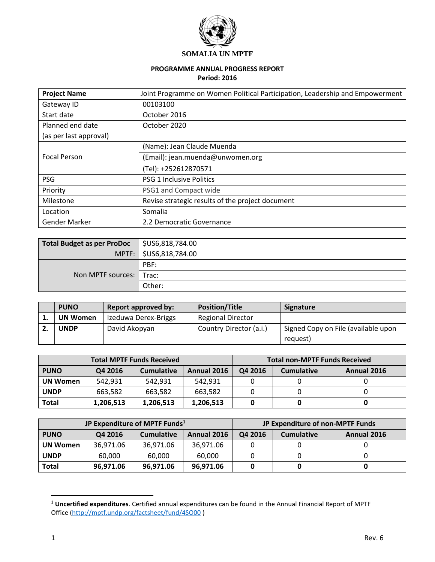

#### **SOMALIA UN MPTF**

# **PROGRAMME ANNUAL PROGRESS REPORT**

## **Period: 2016**

| <b>Project Name</b>    | Joint Programme on Women Political Participation, Leadership and Empowerment |  |
|------------------------|------------------------------------------------------------------------------|--|
| Gateway ID             | 00103100                                                                     |  |
| Start date             | October 2016                                                                 |  |
| Planned end date       | October 2020                                                                 |  |
| (as per last approval) |                                                                              |  |
|                        | (Name): Jean Claude Muenda                                                   |  |
| <b>Focal Person</b>    | (Email): jean.muenda@unwomen.org                                             |  |
|                        | (Tel): +252612870571                                                         |  |
| <b>PSG</b>             | <b>PSG 1 Inclusive Politics</b>                                              |  |
| Priority               | PSG1 and Compact wide                                                        |  |
| Milestone              | Revise strategic results of the project document                             |  |
| Location               | Somalia                                                                      |  |
| Gender Marker          | 2.2 Democratic Governance                                                    |  |

| <b>Total Budget as per ProDoc</b> | \$US6,818,784.00         |
|-----------------------------------|--------------------------|
|                                   | MPTF:   \$US6,818,784.00 |
|                                   | PBF:                     |
| Non MPTF sources:   Trac:         |                          |
|                                   | Other:                   |

| <b>PUNO</b>     | <b>Report approved by:</b> | <b>Position/Title</b>    | <b>Signature</b>                    |
|-----------------|----------------------------|--------------------------|-------------------------------------|
| <b>UN Women</b> | Izeduwa Derex-Briggs       | <b>Regional Director</b> |                                     |
| <b>UNDP</b>     | David Akopyan              | Country Director (a.i.)  | Signed Copy on File (available upon |
|                 |                            |                          | request)                            |

| <b>Total MPTF Funds Received</b> |           |                   | <b>Total non-MPTF Funds Received</b> |         |                   |             |
|----------------------------------|-----------|-------------------|--------------------------------------|---------|-------------------|-------------|
| <b>PUNO</b>                      | Q4 2016   | <b>Cumulative</b> | Annual 2016                          | Q4 2016 | <b>Cumulative</b> | Annual 2016 |
| <b>UN Women</b>                  | 542.931   | 542.931           | 542.931                              |         |                   |             |
| <b>UNDP</b>                      | 663,582   | 663,582           | 663,582                              |         |                   |             |
| Total                            | 1,206,513 | 1,206,513         | 1,206,513                            |         |                   |             |

| JP Expenditure of MPTF Funds <sup>1</sup> |           |                   | JP Expenditure of non-MPTF Funds |         |                   |             |
|-------------------------------------------|-----------|-------------------|----------------------------------|---------|-------------------|-------------|
| <b>PUNO</b>                               | Q4 2016   | <b>Cumulative</b> | Annual 2016                      | Q4 2016 | <b>Cumulative</b> | Annual 2016 |
| <b>UN Women</b>                           | 36.971.06 | 36.971.06         | 36,971.06                        |         |                   |             |
| <b>UNDP</b>                               | 60,000    | 60,000            | 60,000                           |         |                   |             |
| Total                                     | 96,971.06 | 96,971.06         | 96,971.06                        |         |                   |             |

<sup>1</sup> **Uncertified expenditures**. Certified annual expenditures can be found in the Annual Financial Report of MPTF Office [\(http://mptf.undp.org/factsheet/fund/4SO00](http://mptf.undp.org/factsheet/fund/4SO00) )

 $\overline{a}$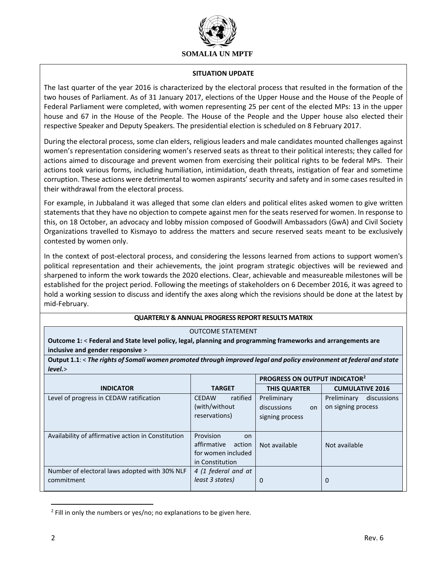

#### **SITUATION UPDATE**

The last quarter of the year 2016 is characterized by the electoral process that resulted in the formation of the two houses of Parliament. As of 31 January 2017, elections of the Upper House and the House of the People of Federal Parliament were completed, with women representing 25 per cent of the elected MPs: 13 in the upper house and 67 in the House of the People. The House of the People and the Upper house also elected their respective Speaker and Deputy Speakers. The presidential election is scheduled on 8 February 2017.

During the electoral process, some clan elders, religious leaders and male candidates mounted challenges against women's representation considering women's reserved seats as threat to their political interests; they called for actions aimed to discourage and prevent women from exercising their political rights to be federal MPs. Their actions took various forms, including humiliation, intimidation, death threats, instigation of fear and sometime corruption. These actions were detrimental to women aspirants' security and safety and in some cases resulted in their withdrawal from the electoral process.

For example, in Jubbaland it was alleged that some clan elders and political elites asked women to give written statements that they have no objection to compete against men for the seats reserved for women. In response to this, on 18 October, an advocacy and lobby mission composed of Goodwill Ambassadors (GwA) and Civil Society Organizations travelled to Kismayo to address the matters and secure reserved seats meant to be exclusively contested by women only.

In the context of post-electoral process, and considering the lessons learned from actions to support women's political representation and their achievements, the joint program strategic objectives will be reviewed and sharpened to inform the work towards the 2020 elections. Clear, achievable and measureable milestones will be established for the project period. Following the meetings of stakeholders on 6 December 2016, it was agreed to hold a working session to discuss and identify the axes along which the revisions should be done at the latest by mid-February.

### **QUARTERLY & ANNUAL PROGRESS REPORT RESULTS MATRIX**

#### OUTCOME STATEMENT

**Outcome 1:** < **Federal and State level policy, legal, planning and programming frameworks and arrangements are inclusive and gender responsive** >

**Output 1.1**: < *The rights of Somali women promoted through improved legal and policy environment at federal and state level.*>

|                                                             |                                                                                          | PROGRESS ON OUTPUT INDICATOR <sup>2</sup>           |                                                  |  |
|-------------------------------------------------------------|------------------------------------------------------------------------------------------|-----------------------------------------------------|--------------------------------------------------|--|
| <b>INDICATOR</b>                                            | <b>TARGET</b>                                                                            | <b>THIS QUARTER</b>                                 | <b>CUMULATIVE 2016</b>                           |  |
| Level of progress in CEDAW ratification                     | ratified<br><b>CEDAW</b><br>(with/without<br>reservations)                               | Preliminary<br>discussions<br>on<br>signing process | discussions<br>Preliminary<br>on signing process |  |
| Availability of affirmative action in Constitution          | Provision<br><b>on</b><br>affirmative<br>action<br>for women included<br>in Constitution | Not available                                       | Not available                                    |  |
| Number of electoral laws adopted with 30% NLF<br>commitment | 4 (1 federal and at<br>least 3 states)                                                   | 0                                                   | 0                                                |  |

<sup>&</sup>lt;sup>2</sup> Fill in only the numbers or yes/no; no explanations to be given here.

 $\overline{\phantom{a}}$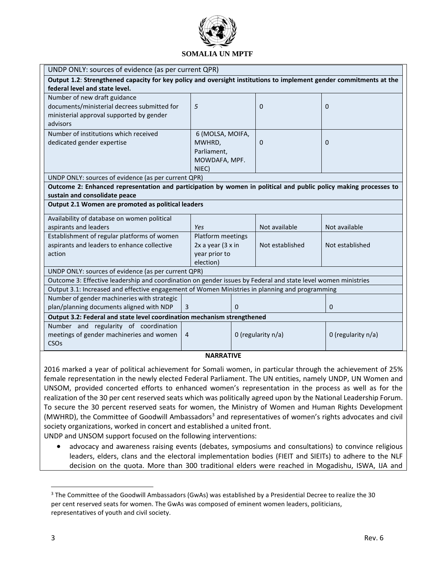

| UNDP ONLY: sources of evidence (as per current QPR)                                                                |                       |          |                    |                    |
|--------------------------------------------------------------------------------------------------------------------|-----------------------|----------|--------------------|--------------------|
| Output 1.2: Strengthened capacity for key policy and oversight institutions to implement gender commitments at the |                       |          |                    |                    |
| federal level and state level.                                                                                     |                       |          |                    |                    |
| Number of new draft guidance                                                                                       |                       |          |                    |                    |
| documents/ministerial decrees submitted for                                                                        | 5                     |          | $\Omega$           | $\Omega$           |
| ministerial approval supported by gender                                                                           |                       |          |                    |                    |
| advisors                                                                                                           |                       |          |                    |                    |
| Number of institutions which received                                                                              | 6 (MOLSA, MOIFA,      |          |                    |                    |
| dedicated gender expertise                                                                                         | MWHRD,                |          | $\mathbf{0}$       | $\Omega$           |
|                                                                                                                    | Parliament,           |          |                    |                    |
|                                                                                                                    | MOWDAFA, MPF.         |          |                    |                    |
|                                                                                                                    | NIEC)                 |          |                    |                    |
| UNDP ONLY: sources of evidence (as per current QPR)                                                                |                       |          |                    |                    |
| Outcome 2: Enhanced representation and participation by women in political and public policy making processes to   |                       |          |                    |                    |
| sustain and consolidate peace                                                                                      |                       |          |                    |                    |
| Output 2.1 Women are promoted as political leaders                                                                 |                       |          |                    |                    |
| Availability of database on women political                                                                        |                       |          |                    |                    |
| aspirants and leaders                                                                                              | Yes                   |          | Not available      | Not available      |
| Establishment of regular platforms of women                                                                        | Platform meetings     |          |                    |                    |
| aspirants and leaders to enhance collective                                                                        | $2x$ a year $(3x)$ in |          | Not established    | Not established    |
| action                                                                                                             | year prior to         |          |                    |                    |
|                                                                                                                    | election)             |          |                    |                    |
| UNDP ONLY: sources of evidence (as per current QPR)                                                                |                       |          |                    |                    |
| Outcome 3: Effective leadership and coordination on gender issues by Federal and state level women ministries      |                       |          |                    |                    |
| Output 3.1: Increased and effective engagement of Women Ministries in planning and programming                     |                       |          |                    |                    |
| Number of gender machineries with strategic                                                                        |                       |          |                    |                    |
| plan/planning documents aligned with NDP                                                                           | 3                     | $\Omega$ |                    | $\mathbf{0}$       |
| Output 3.2: Federal and state level coordination mechanism strengthened                                            |                       |          |                    |                    |
| Number and regularity of coordination                                                                              |                       |          |                    |                    |
| meetings of gender machineries and women                                                                           | $\overline{4}$        |          | 0 (regularity n/a) | 0 (regularity n/a) |
| CSO <sub>s</sub>                                                                                                   |                       |          |                    |                    |
| <b>NARRATIVE</b>                                                                                                   |                       |          |                    |                    |

2016 marked a year of political achievement for Somali women, in particular through the achievement of 25% female representation in the newly elected Federal Parliament. The UN entities, namely UNDP, UN Women and UNSOM, provided concerted efforts to enhanced women's representation in the process as well as for the realization of the 30 per cent reserved seats which was politically agreed upon by the National Leadership Forum. To secure the 30 percent reserved seats for women, the Ministry of Women and Human Rights Development (MWHRD), the Committee of Goodwill Ambassadors<sup>3</sup> and representatives of women's rights advocates and civil society organizations, worked in concert and established a united front.

UNDP and UNSOM support focused on the following interventions:

 advocacy and awareness raising events (debates, symposiums and consultations) to convince religious leaders, elders, clans and the electoral implementation bodies (FIEIT and SIEITs) to adhere to the NLF decision on the quota. More than 300 traditional elders were reached in Mogadishu, ISWA, IJA and

 $\overline{\phantom{a}}$ 

<sup>&</sup>lt;sup>3</sup> The Committee of the Goodwill Ambassadors (GwAs) was established by a Presidential Decree to realize the 30 per cent reserved seats for women. The GwAs was composed of eminent women leaders, politicians, representatives of youth and civil society.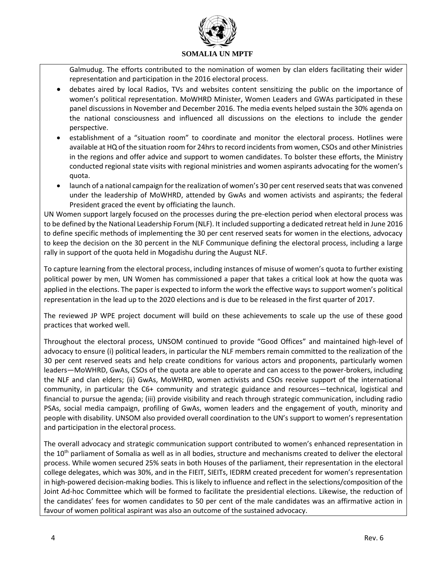

Galmudug. The efforts contributed to the nomination of women by clan elders facilitating their wider representation and participation in the 2016 electoral process.

- debates aired by local Radios, TVs and websites content sensitizing the public on the importance of women's political representation. MoWHRD Minister, Women Leaders and GWAs participated in these panel discussions in November and December 2016. The media events helped sustain the 30% agenda on the national consciousness and influenced all discussions on the elections to include the gender perspective.
- establishment of a "situation room" to coordinate and monitor the electoral process. Hotlines were available at HQ of the situation room for 24hrs to record incidents from women, CSOs and other Ministries in the regions and offer advice and support to women candidates. To bolster these efforts, the Ministry conducted regional state visits with regional ministries and women aspirants advocating for the women's quota.
- launch of a national campaign for the realization of women's 30 per cent reserved seats that was convened under the leadership of MoWHRD, attended by GwAs and women activists and aspirants; the federal President graced the event by officiating the launch.

UN Women support largely focused on the processes during the pre-election period when electoral process was to be defined by the National Leadership Forum (NLF). It included supporting a dedicated retreat held in June 2016 to define specific methods of implementing the 30 per cent reserved seats for women in the elections, advocacy to keep the decision on the 30 percent in the NLF Communique defining the electoral process, including a large rally in support of the quota held in Mogadishu during the August NLF.

To capture learning from the electoral process, including instances of misuse of women's quota to further existing political power by men, UN Women has commissioned a paper that takes a critical look at how the quota was applied in the elections. The paper is expected to inform the work the effective ways to support women's political representation in the lead up to the 2020 elections and is due to be released in the first quarter of 2017.

The reviewed JP WPE project document will build on these achievements to scale up the use of these good practices that worked well.

Throughout the electoral process, UNSOM continued to provide "Good Offices" and maintained high-level of advocacy to ensure (i) political leaders, in particular the NLF members remain committed to the realization of the 30 per cent reserved seats and help create conditions for various actors and proponents, particularly women leaders—MoWHRD, GwAs, CSOs of the quota are able to operate and can access to the power-brokers, including the NLF and clan elders; (ii) GwAs, MoWHRD, women activists and CSOs receive support of the international community, in particular the C6+ community and strategic guidance and resources—technical, logistical and financial to pursue the agenda; (iii) provide visibility and reach through strategic communication, including radio PSAs, social media campaign, profiling of GwAs, women leaders and the engagement of youth, minority and people with disability. UNSOM also provided overall coordination to the UN's support to women's representation and participation in the electoral process.

The overall advocacy and strategic communication support contributed to women's enhanced representation in the 10<sup>th</sup> parliament of Somalia as well as in all bodies, structure and mechanisms created to deliver the electoral process. While women secured 25% seats in both Houses of the parliament, their representation in the electoral college delegates, which was 30%, and in the FIEIT, SIEITs, IEDRM created precedent for women's representation in high-powered decision-making bodies. This is likely to influence and reflect in the selections/composition of the Joint Ad-hoc Committee which will be formed to facilitate the presidential elections. Likewise, the reduction of the candidates' fees for women candidates to 50 per cent of the male candidates was an affirmative action in favour of women political aspirant was also an outcome of the sustained advocacy.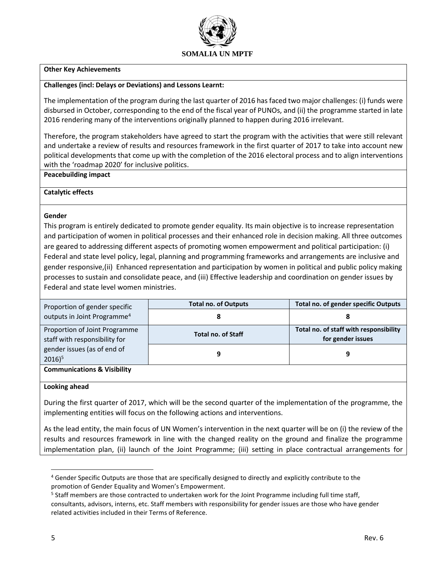

#### **Other Key Achievements**

#### **Challenges (incl: Delays or Deviations) and Lessons Learnt:**

The implementation of the program during the last quarter of 2016 has faced two major challenges: (i) funds were disbursed in October, corresponding to the end of the fiscal year of PUNOs, and (ii) the programme started in late 2016 rendering many of the interventions originally planned to happen during 2016 irrelevant.

Therefore, the program stakeholders have agreed to start the program with the activities that were still relevant and undertake a review of results and resources framework in the first quarter of 2017 to take into account new political developments that come up with the completion of the 2016 electoral process and to align interventions with the 'roadmap 2020' for inclusive politics.

#### **Peacebuilding impact**

#### **Catalytic effects**

### **Gender**

This program is entirely dedicated to promote gender equality. Its main objective is to increase representation and participation of women in political processes and their enhanced role in decision making. All three outcomes are geared to addressing different aspects of promoting women empowerment and political participation: (i) Federal and state level policy, legal, planning and programming frameworks and arrangements are inclusive and gender responsive,(ii) Enhanced representation and participation by women in political and public policy making processes to sustain and consolidate peace, and (iii) Effective leadership and coordination on gender issues by Federal and state level women ministries.

| Proportion of gender specific                                  | <b>Total no. of Outputs</b> | Total no. of gender specific Outputs                        |
|----------------------------------------------------------------|-----------------------------|-------------------------------------------------------------|
| outputs in Joint Programme <sup>4</sup>                        |                             |                                                             |
| Proportion of Joint Programme<br>staff with responsibility for | <b>Total no. of Staff</b>   | Total no. of staff with responsibility<br>for gender issues |
| gender issues (as of end of<br>$2016$ <sup>5</sup>             | 9                           |                                                             |
| <b>Communications &amp; Visibility</b>                         |                             |                                                             |

#### **Looking ahead**

During the first quarter of 2017, which will be the second quarter of the implementation of the programme, the implementing entities will focus on the following actions and interventions.

As the lead entity, the main focus of UN Women's intervention in the next quarter will be on (i) the review of the results and resources framework in line with the changed reality on the ground and finalize the programme implementation plan, (ii) launch of the Joint Programme; (iii) setting in place contractual arrangements for

 $\overline{\phantom{a}}$ 

<sup>&</sup>lt;sup>4</sup> Gender Specific Outputs are those that are specifically designed to directly and explicitly contribute to the promotion of Gender Equality and Women's Empowerment.

<sup>&</sup>lt;sup>5</sup> Staff members are those contracted to undertaken work for the Joint Programme including full time staff, consultants, advisors, interns, etc. Staff members with responsibility for gender issues are those who have gender related activities included in their Terms of Reference.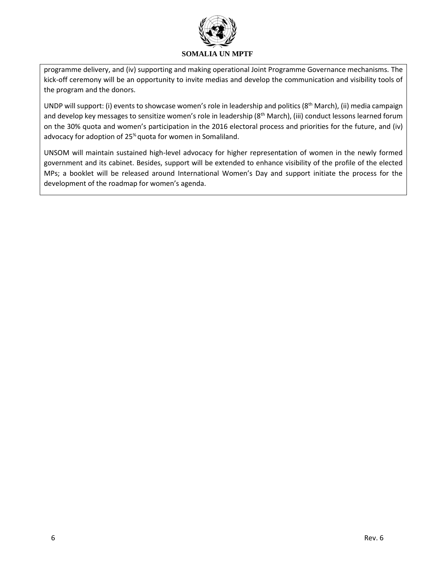

programme delivery, and (iv) supporting and making operational Joint Programme Governance mechanisms. The kick-off ceremony will be an opportunity to invite medias and develop the communication and visibility tools of the program and the donors.

UNDP will support: (i) events to showcase women's role in leadership and politics (8<sup>th</sup> March), (ii) media campaign and develop key messages to sensitize women's role in leadership ( $8<sup>th</sup>$  March), (iii) conduct lessons learned forum on the 30% quota and women's participation in the 2016 electoral process and priorities for the future, and (iv) advocacy for adoption of 25% quota for women in Somaliland.

UNSOM will maintain sustained high-level advocacy for higher representation of women in the newly formed government and its cabinet. Besides, support will be extended to enhance visibility of the profile of the elected MPs; a booklet will be released around International Women's Day and support initiate the process for the development of the roadmap for women's agenda.